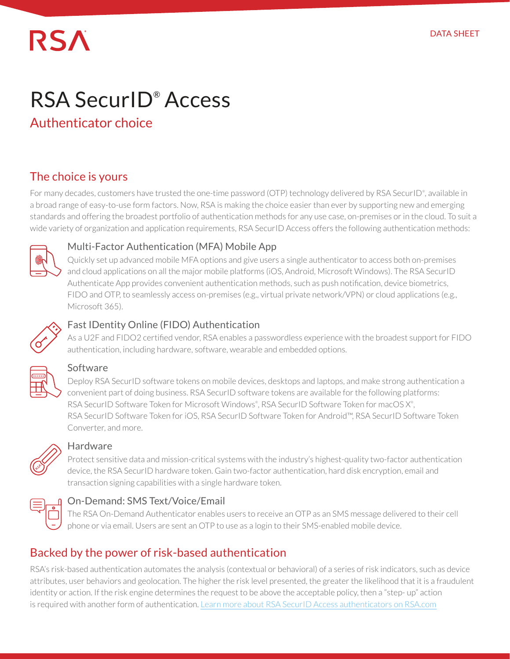# **RSA**

# RSA SecurID® Access

# Authenticator choice

# The choice is yours

For many decades, customers have trusted the one-time password (OTP) technology delivered by RSA SecurID®, available in a broad range of easy-to-use form factors. Now, RSA is making the choice easier than ever by supporting new and emerging standards and offering the broadest portfolio of authentication methods for any use case, on-premises or in the cloud. To suit a wide variety of organization and application requirements, RSA SecurID Access offers the following authentication methods:



#### Multi-Factor Authentication (MFA) Mobile App

Quickly set up advanced mobile MFA options and give users a single authenticator to access both on-premises and cloud applications on all the major mobile platforms (iOS, Android, Microsoft Windows). The RSA SecurID Authenticate App provides convenient authentication methods, such as push notification, device biometrics, FIDO and OTP, to seamlessly access on-premises (e.g., virtual private network/VPN) or cloud applications (e.g., Microsoft 365).



#### Fast IDentity Online (FIDO) Authentication

As a U2F and FIDO2 certified vendor, RSA enables a passwordless experience with the broadest support for FIDO authentication, including hardware, software, wearable and embedded options.



#### Software

Deploy RSA SecurID software tokens on mobile devices, desktops and laptops, and make strong authentication a convenient part of doing business. RSA SecurID software tokens are available for the following platforms: RSA SecurID Software Token for Microsoft Windows®, RSA SecurID Software Token for macOS X®, RSA SecurID Software Token for iOS, RSA SecurID Software Token for Android™, RSA SecurID Software Token Converter, and more.



#### Hardware

Protect sensitive data and mission-critical systems with the industry's highest-quality two-factor authentication device, the RSA SecurID hardware token. Gain two-factor authentication, hard disk encryption, email and transaction signing capabilities with a single hardware token.



#### On-Demand: SMS Text/Voice/Email

The RSA On-Demand Authenticator enables users to receive an OTP as an SMS message delivered to their cell phone or via email. Users are sent an OTP to use as a login to their SMS-enabled mobile device.

# Backed by the power of risk-based authentication

RSA's risk-based authentication automates the analysis (contextual or behavioral) of a series of risk indicators, such as device attributes, user behaviors and geolocation. The higher the risk level presented, the greater the likelihood that it is a fraudulent identity or action. If the risk engine determines the request to be above the acceptable policy, then a "step- up" action is required with another form of authentication. [Learn more about RSA SecurID Access authenticators on RSA.com](https://www.rsa.com/en-us/products/rsa-securid-suite/rsa-securid-access/modern-authentication-methods)